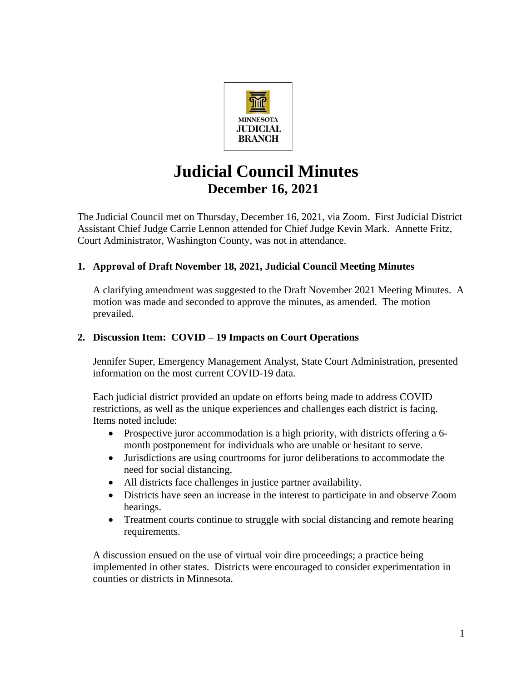

# **Judicial Council Minutes December 16, 2021**

The Judicial Council met on Thursday, December 16, 2021, via Zoom. First Judicial District Assistant Chief Judge Carrie Lennon attended for Chief Judge Kevin Mark. Annette Fritz, Court Administrator, Washington County, was not in attendance.

## **1. Approval of Draft November 18, 2021, Judicial Council Meeting Minutes**

A clarifying amendment was suggested to the Draft November 2021 Meeting Minutes. A motion was made and seconded to approve the minutes, as amended. The motion prevailed.

### **2. Discussion Item: COVID – 19 Impacts on Court Operations**

Jennifer Super, Emergency Management Analyst, State Court Administration, presented information on the most current COVID-19 data.

Each judicial district provided an update on efforts being made to address COVID restrictions, as well as the unique experiences and challenges each district is facing. Items noted include:

- Prospective juror accommodation is a high priority, with districts offering a 6month postponement for individuals who are unable or hesitant to serve.
- Jurisdictions are using courtrooms for juror deliberations to accommodate the need for social distancing.
- All districts face challenges in justice partner availability.
- Districts have seen an increase in the interest to participate in and observe Zoom hearings.
- Treatment courts continue to struggle with social distancing and remote hearing requirements.

A discussion ensued on the use of virtual voir dire proceedings; a practice being implemented in other states. Districts were encouraged to consider experimentation in counties or districts in Minnesota.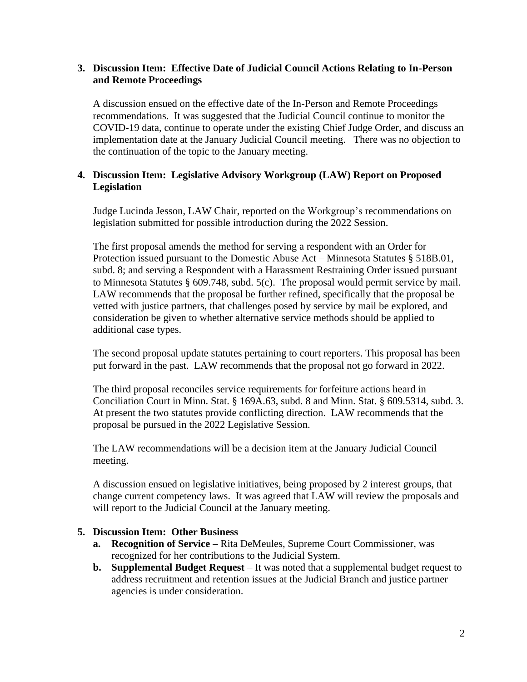#### **3. Discussion Item: Effective Date of Judicial Council Actions Relating to In-Person and Remote Proceedings**

A discussion ensued on the effective date of the In-Person and Remote Proceedings recommendations. It was suggested that the Judicial Council continue to monitor the COVID-19 data, continue to operate under the existing Chief Judge Order, and discuss an implementation date at the January Judicial Council meeting. There was no objection to the continuation of the topic to the January meeting.

#### **4. Discussion Item: Legislative Advisory Workgroup (LAW) Report on Proposed Legislation**

Judge Lucinda Jesson, LAW Chair, reported on the Workgroup's recommendations on legislation submitted for possible introduction during the 2022 Session.

The first proposal amends the method for serving a respondent with an Order for Protection issued pursuant to the Domestic Abuse Act – Minnesota Statutes § 518B.01, subd. 8; and serving a Respondent with a Harassment Restraining Order issued pursuant to Minnesota Statutes § 609.748, subd. 5(c). The proposal would permit service by mail. LAW recommends that the proposal be further refined, specifically that the proposal be vetted with justice partners, that challenges posed by service by mail be explored, and consideration be given to whether alternative service methods should be applied to additional case types.

The second proposal update statutes pertaining to court reporters. This proposal has been put forward in the past. LAW recommends that the proposal not go forward in 2022.

The third proposal reconciles service requirements for forfeiture actions heard in Conciliation Court in Minn. Stat. § 169A.63, subd. 8 and Minn. Stat. § 609.5314, subd. 3. At present the two statutes provide conflicting direction. LAW recommends that the proposal be pursued in the 2022 Legislative Session.

The LAW recommendations will be a decision item at the January Judicial Council meeting.

A discussion ensued on legislative initiatives, being proposed by 2 interest groups, that change current competency laws. It was agreed that LAW will review the proposals and will report to the Judicial Council at the January meeting.

#### **5. Discussion Item: Other Business**

- **a. Recognition of Service –** Rita DeMeules, Supreme Court Commissioner, was recognized for her contributions to the Judicial System.
- **b. Supplemental Budget Request** It was noted that a supplemental budget request to address recruitment and retention issues at the Judicial Branch and justice partner agencies is under consideration.